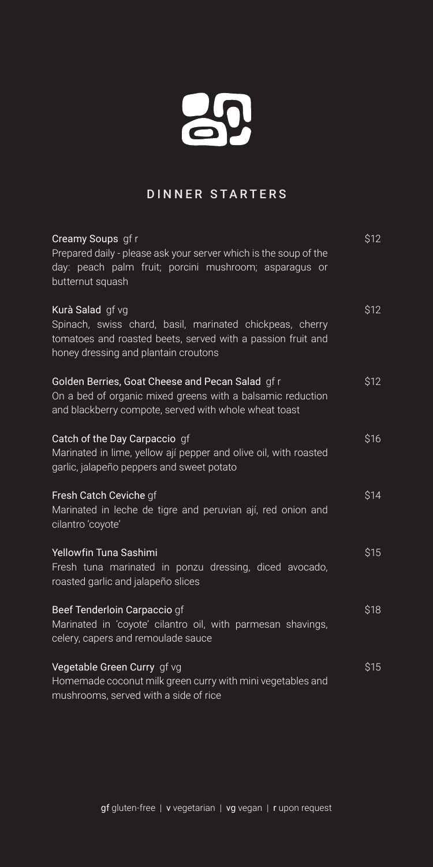## 20

## DINNER STARTERS

| Creamy Soups gf r                                                                                                                                                                   | \$12 |
|-------------------------------------------------------------------------------------------------------------------------------------------------------------------------------------|------|
| Prepared daily - please ask your server which is the soup of the<br>day: peach palm fruit; porcini mushroom; asparagus or<br>butternut squash                                       |      |
| Kurà Salad gf vg<br>Spinach, swiss chard, basil, marinated chickpeas, cherry<br>tomatoes and roasted beets, served with a passion fruit and<br>honey dressing and plantain croutons | \$12 |
| Golden Berries, Goat Cheese and Pecan Salad gfr<br>On a bed of organic mixed greens with a balsamic reduction<br>and blackberry compote, served with whole wheat toast              | \$12 |
| Catch of the Day Carpaccio gf<br>Marinated in lime, yellow ají pepper and olive oil, with roasted<br>garlic, jalapeño peppers and sweet potato                                      | \$16 |
| Fresh Catch Ceviche gf<br>Marinated in leche de tigre and peruvian ají, red onion and<br>cilantro 'coyote'                                                                          | \$14 |
| Yellowfin Tuna Sashimi<br>Fresh tuna marinated in ponzu dressing, diced avocado,<br>roasted garlic and jalapeño slices                                                              | \$15 |
| Beef Tenderloin Carpaccio gf<br>Marinated in 'coyote' cilantro oil, with parmesan shavings,<br>celery, capers and remoulade sauce                                                   | \$18 |
| Vegetable Green Curry gf vg<br>Homemade coconut milk green curry with mini vegetables and<br>mushrooms, served with a side of rice                                                  | \$15 |